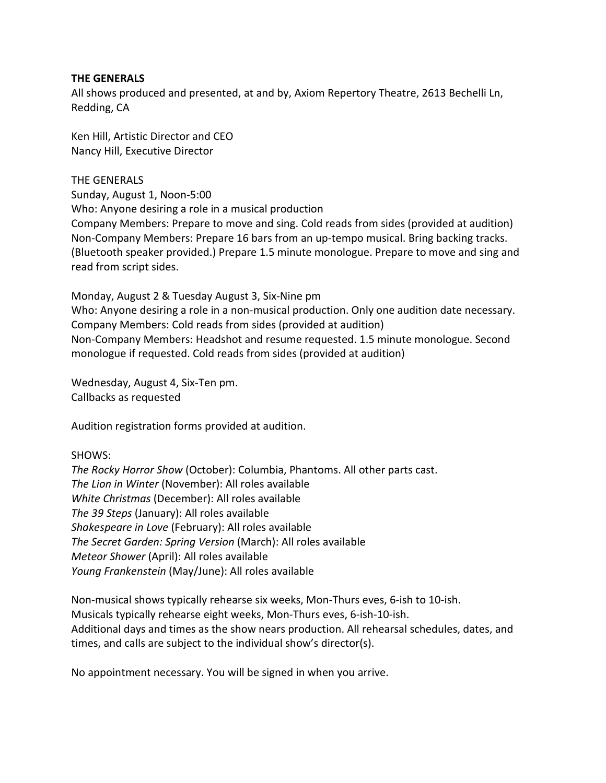### **THE GENERALS**

All shows produced and presented, at and by, Axiom Repertory Theatre, 2613 Bechelli Ln, Redding, CA

Ken Hill, Artistic Director and CEO Nancy Hill, Executive Director

# THE GENERALS

Sunday, August 1, Noon-5:00 Who: Anyone desiring a role in a musical production Company Members: Prepare to move and sing. Cold reads from sides (provided at audition) Non-Company Members: Prepare 16 bars from an up-tempo musical. Bring backing tracks. (Bluetooth speaker provided.) Prepare 1.5 minute monologue. Prepare to move and sing and read from script sides.

Monday, August 2 & Tuesday August 3, Six-Nine pm Who: Anyone desiring a role in a non-musical production. Only one audition date necessary. Company Members: Cold reads from sides (provided at audition) Non-Company Members: Headshot and resume requested. 1.5 minute monologue. Second monologue if requested. Cold reads from sides (provided at audition)

Wednesday, August 4, Six-Ten pm. Callbacks as requested

Audition registration forms provided at audition.

# SHOWS:

*The Rocky Horror Show* (October): Columbia, Phantoms. All other parts cast. *The Lion in Winter* (November): All roles available *White Christmas* (December): All roles available *The 39 Steps* (January): All roles available *Shakespeare in Love* (February): All roles available *The Secret Garden: Spring Version* (March): All roles available *Meteor Shower* (April): All roles available *Young Frankenstein* (May/June): All roles available

Non-musical shows typically rehearse six weeks, Mon-Thurs eves, 6-ish to 10-ish. Musicals typically rehearse eight weeks, Mon-Thurs eves, 6-ish-10-ish. Additional days and times as the show nears production. All rehearsal schedules, dates, and times, and calls are subject to the individual show's director(s).

No appointment necessary. You will be signed in when you arrive.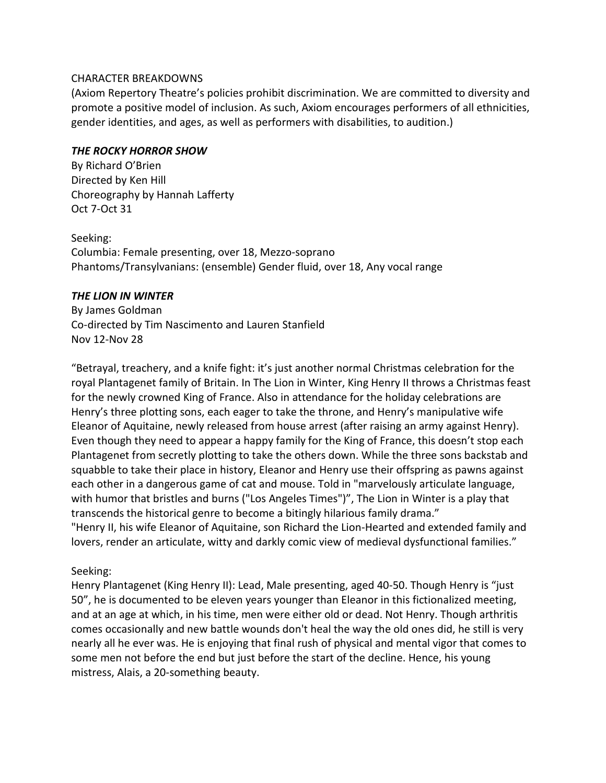### CHARACTER BREAKDOWNS

(Axiom Repertory Theatre's policies prohibit discrimination. We are committed to diversity and promote a positive model of inclusion. As such, Axiom encourages performers of all ethnicities, gender identities, and ages, as well as performers with disabilities, to audition.)

### *THE ROCKY HORROR SHOW*

By Richard O'Brien Directed by Ken Hill Choreography by Hannah Lafferty Oct 7-Oct 31

Seeking: Columbia: Female presenting, over 18, Mezzo-soprano [Phantoms/Transylvanians:](https://stageagent.com/characters/18160/the-rocky-horror-show/phantoms-transylvanians) (ensemble) Gender fluid, over 18, Any vocal range

# *THE LION IN WINTER*

By James Goldman Co-directed by Tim Nascimento and Lauren Stanfield Nov 12-Nov 28

"Betrayal, treachery, and a knife fight: it's just another normal Christmas celebration for the royal Plantagenet family of Britain. In The Lion in Winter, King Henry II throws a Christmas feast for the newly crowned King of France. Also in attendance for the holiday celebrations are Henry's three plotting sons, each eager to take the throne, and Henry's manipulative wife Eleanor of Aquitaine, newly released from house arrest (after raising an army against Henry). Even though they need to appear a happy family for the King of France, this doesn't stop each Plantagenet from secretly plotting to take the others down. While the three sons backstab and squabble to take their place in history, Eleanor and Henry use their offspring as pawns against each other in a dangerous game of cat and mouse. Told in "marvelously articulate language, with humor that bristles and burns ("Los Angeles Times")", The Lion in Winter is a play that transcends the historical genre to become a bitingly hilarious family drama." "Henry II, his wife Eleanor of Aquitaine, son Richard the Lion-Hearted and extended family and lovers, render an articulate, witty and darkly comic view of medieval dysfunctional families."

# Seeking:

Henry Plantagenet (King Henry II): Lead, Male presenting, aged 40-50. Though Henry is "just 50", he is documented to be eleven years younger than Eleanor in this fictionalized meeting, and at an age at which, in his time, men were either old or dead. Not Henry. Though arthritis comes occasionally and new battle wounds don't heal the way the old ones did, he still is very nearly all he ever was. He is enjoying that final rush of physical and mental vigor that comes to some men not before the end but just before the start of the decline. Hence, his young mistress, Alais, a 20-something beauty.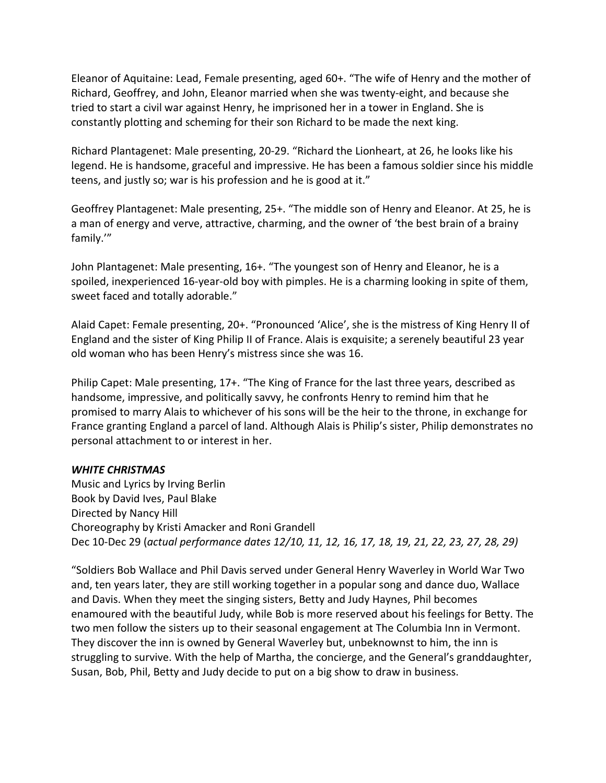Eleanor of Aquitaine: Lead, Female presenting, aged 60+. "The wife of Henry and the mother of Richard, Geoffrey, and John, Eleanor married when she was twenty-eight, and because she tried to start a civil war against Henry, he imprisoned her in a tower in England. She is constantly plotting and scheming for their son Richard to be made the next king.

Richard Plantagenet: Male presenting, 20-29. "Richard the Lionheart, at 26, he looks like his legend. He is handsome, graceful and impressive. He has been a famous soldier since his middle teens, and justly so; war is his profession and he is good at it."

Geoffrey Plantagenet: Male presenting, 25+. "The middle son of Henry and Eleanor. At 25, he is a man of energy and verve, attractive, charming, and the owner of 'the best brain of a brainy family.'"

John Plantagenet: Male presenting, 16+. "The youngest son of Henry and Eleanor, he is a spoiled, inexperienced 16-year-old boy with pimples. He is a charming looking in spite of them, sweet faced and totally adorable."

Alaid Capet: Female presenting, 20+. "Pronounced 'Alice', she is the mistress of King Henry II of England and the sister of King Philip II of France. Alais is exquisite; a serenely beautiful 23 year old woman who has been Henry's mistress since she was 16.

Philip Capet: Male presenting, 17+. "The King of France for the last three years, described as handsome, impressive, and politically savvy, he confronts Henry to remind him that he promised to marry Alais to whichever of his sons will be the heir to the throne, in exchange for France granting England a parcel of land. Although Alais is Philip's sister, Philip demonstrates no personal attachment to or interest in her.

# *WHITE CHRISTMAS*

Music and Lyrics by Irving Berlin Book by David Ives, Paul Blake Directed by Nancy Hill Choreography by Kristi Amacker and Roni Grandell Dec 10-Dec 29 (*actual performance dates 12/10, 11, 12, 16, 17, 18, 19, 21, 22, 23, 27, 28, 29)*

"Soldiers Bob Wallace and Phil Davis served under General Henry Waverley in World War Two and, ten years later, they are still working together in a popular song and dance duo, Wallace and Davis. When they meet the singing sisters, Betty and Judy Haynes, Phil becomes enamoured with the beautiful Judy, while Bob is more reserved about his feelings for Betty. The two men follow the sisters up to their seasonal engagement at The Columbia Inn in Vermont. They discover the inn is owned by General Waverley but, unbeknownst to him, the inn is struggling to survive. With the help of Martha, the concierge, and the General's granddaughter, Susan, Bob, Phil, Betty and Judy decide to put on a big show to draw in business.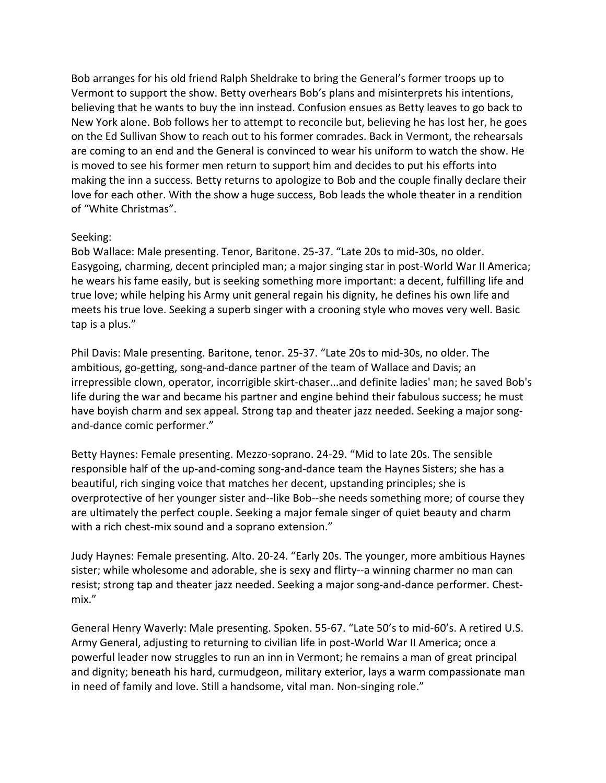Bob arranges for his old friend Ralph Sheldrake to bring the General's former troops up to Vermont to support the show. Betty overhears Bob's plans and misinterprets his intentions, believing that he wants to buy the inn instead. Confusion ensues as Betty leaves to go back to New York alone. Bob follows her to attempt to reconcile but, believing he has lost her, he goes on the Ed Sullivan Show to reach out to his former comrades. Back in Vermont, the rehearsals are coming to an end and the General is convinced to wear his uniform to watch the show. He is moved to see his former men return to support him and decides to put his efforts into making the inn a success. Betty returns to apologize to Bob and the couple finally declare their love for each other. With the show a huge success, Bob leads the whole theater in a rendition of "White Christmas".

# Seeking:

Bob Wallace: Male presenting. Tenor, Baritone. 25-37. "Late 20s to mid-30s, no older. Easygoing, charming, decent principled man; a major singing star in post-World War II America; he wears his fame easily, but is seeking something more important: a decent, fulfilling life and true love; while helping his Army unit general regain his dignity, he defines his own life and meets his true love. Seeking a superb singer with a crooning style who moves very well. Basic tap is a plus."

Phil Davis: Male presenting. Baritone, tenor. 25-37. "Late 20s to mid-30s, no older. The ambitious, go-getting, song-and-dance partner of the team of Wallace and Davis; an irrepressible clown, operator, incorrigible skirt-chaser...and definite ladies' man; he saved Bob's life during the war and became his partner and engine behind their fabulous success; he must have boyish charm and sex appeal. Strong tap and theater jazz needed. Seeking a major songand-dance comic performer."

Betty Haynes: Female presenting. Mezzo-soprano. 24-29. "Mid to late 20s. The sensible responsible half of the up-and-coming song-and-dance team the Haynes Sisters; she has a beautiful, rich singing voice that matches her decent, upstanding principles; she is overprotective of her younger sister and--like Bob--she needs something more; of course they are ultimately the perfect couple. Seeking a major female singer of quiet beauty and charm with a rich chest-mix sound and a soprano extension."

Judy Haynes: Female presenting. Alto. 20-24. "Early 20s. The younger, more ambitious Haynes sister; while wholesome and adorable, she is sexy and flirty--a winning charmer no man can resist; strong tap and theater jazz needed. Seeking a major song-and-dance performer. Chestmix."

General Henry Waverly: Male presenting. Spoken. 55-67. "Late 50's to mid-60's. A retired U.S. Army General, adjusting to returning to civilian life in post-World War II America; once a powerful leader now struggles to run an inn in Vermont; he remains a man of great principal and dignity; beneath his hard, curmudgeon, military exterior, lays a warm compassionate man in need of family and love. Still a handsome, vital man. Non-singing role."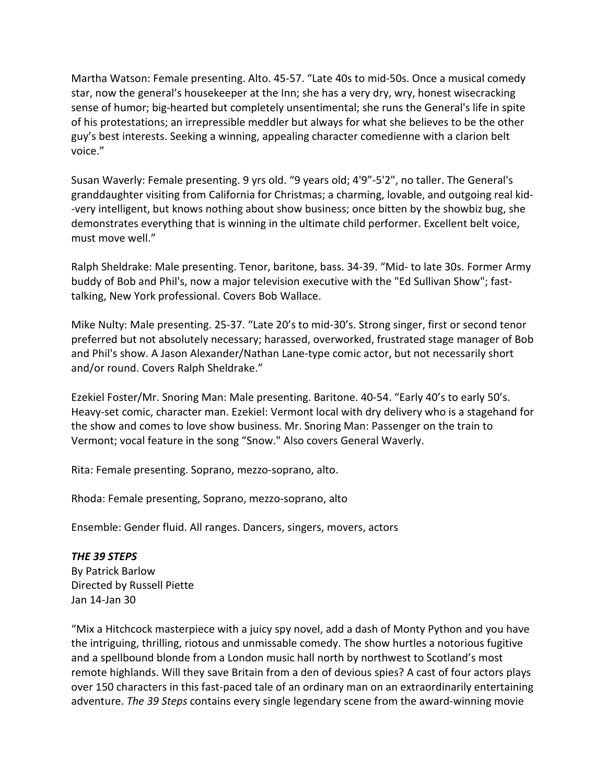Martha Watson: Female presenting. Alto. 45-57. "Late 40s to mid-50s. Once a musical comedy star, now the general's housekeeper at the Inn; she has a very dry, wry, honest wisecracking sense of humor; big-hearted but completely unsentimental; she runs the General's life in spite of his protestations; an irrepressible meddler but always for what she believes to be the other guy's best interests. Seeking a winning, appealing character comedienne with a clarion belt voice."

Susan Waverly: Female presenting. 9 yrs old. "9 years old; 4'9"-5'2", no taller. The General's granddaughter visiting from California for Christmas; a charming, lovable, and outgoing real kid- -very intelligent, but knows nothing about show business; once bitten by the showbiz bug, she demonstrates everything that is winning in the ultimate child performer. Excellent belt voice, must move well."

Ralph Sheldrake: Male presenting. Tenor, baritone, bass. 34-39. "Mid- to late 30s. Former Army buddy of Bob and Phil's, now a major television executive with the "Ed Sullivan Show"; fasttalking, New York professional. Covers Bob Wallace.

Mike Nulty: Male presenting. 25-37. "Late 20's to mid-30's. Strong singer, first or second tenor preferred but not absolutely necessary; harassed, overworked, frustrated stage manager of Bob and Phil's show. A Jason Alexander/Nathan Lane-type comic actor, but not necessarily short and/or round. Covers Ralph Sheldrake."

Ezekiel Foster/Mr. Snoring Man: Male presenting. Baritone. 40-54. "Early 40's to early 50's. Heavy-set comic, character man. Ezekiel: Vermont local with dry delivery who is a stagehand for the show and comes to love show business. Mr. Snoring Man: Passenger on the train to Vermont; vocal feature in the song "Snow." Also covers General Waverly.

Rita: Female presenting. Soprano, mezzo-soprano, alto.

Rhoda: Female presenting, Soprano, mezzo-soprano, alto

Ensemble: Gender fluid. All ranges. Dancers, singers, movers, actors

*THE 39 STEPS* By Patrick Barlow Directed by Russell Piette Jan 14-Jan 30

"Mix a Hitchcock masterpiece with a juicy spy novel, add a dash of Monty Python and you have the intriguing, thrilling, riotous and unmissable comedy. The show hurtles a notorious fugitive and a spellbound blonde from a London music hall north by northwest to Scotland's most remote highlands. Will they save Britain from a den of devious spies? A cast of four actors plays over 150 characters in this fast-paced tale of an ordinary man on an extraordinarily entertaining adventure. *The 39 Steps* contains every single legendary scene from the award-winning movie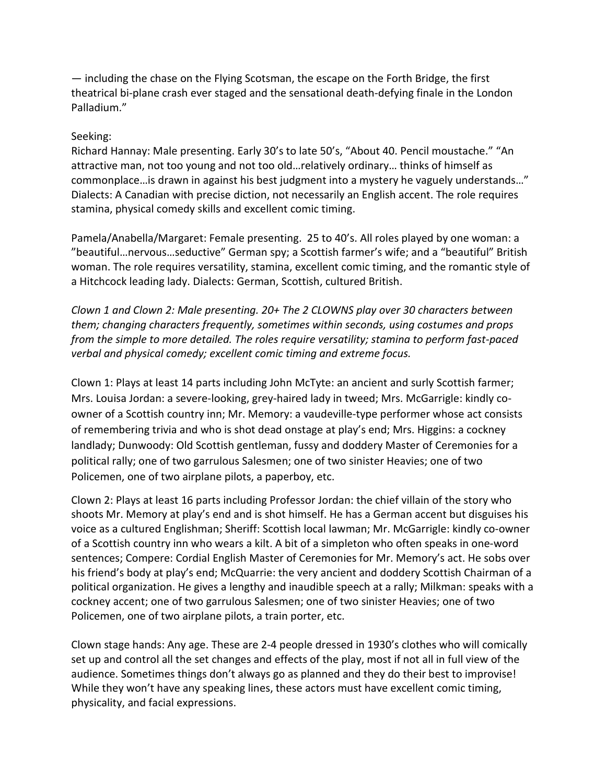— including the chase on the Flying Scotsman, the escape on the Forth Bridge, the first theatrical bi-plane crash ever staged and the sensational death-defying finale in the London Palladium."

# Seeking:

Richard Hannay: Male presenting. Early 30's to late 50's, "About 40. Pencil moustache." "An attractive man, not too young and not too old…relatively ordinary… thinks of himself as commonplace…is drawn in against his best judgment into a mystery he vaguely understands…" Dialects: A Canadian with precise diction, not necessarily an English accent. The role requires stamina, physical comedy skills and excellent comic timing.

Pamela/Anabella/Margaret: Female presenting. 25 to 40's. All roles played by one woman: a "beautiful…nervous…seductive" German spy; a Scottish farmer's wife; and a "beautiful" British woman. The role requires versatility, stamina, excellent comic timing, and the romantic style of a Hitchcock leading lady. Dialects: German, Scottish, cultured British.

*Clown 1 and Clown 2: Male presenting. 20+ The 2 CLOWNS play over 30 characters between them; changing characters frequently, sometimes within seconds, using costumes and props from the simple to more detailed. The roles require versatility; stamina to perform fast-paced verbal and physical comedy; excellent comic timing and extreme focus.*

Clown 1: Plays at least 14 parts including John McTyte: an ancient and surly Scottish farmer; Mrs. Louisa Jordan: a severe-looking, grey-haired lady in tweed; Mrs. McGarrigle: kindly coowner of a Scottish country inn; Mr. Memory: a vaudeville-type performer whose act consists of remembering trivia and who is shot dead onstage at play's end; Mrs. Higgins: a cockney landlady; Dunwoody: Old Scottish gentleman, fussy and doddery Master of Ceremonies for a political rally; one of two garrulous Salesmen; one of two sinister Heavies; one of two Policemen, one of two airplane pilots, a paperboy, etc.

Clown 2: Plays at least 16 parts including Professor Jordan: the chief villain of the story who shoots Mr. Memory at play's end and is shot himself. He has a German accent but disguises his voice as a cultured Englishman; Sheriff: Scottish local lawman; Mr. McGarrigle: kindly co-owner of a Scottish country inn who wears a kilt. A bit of a simpleton who often speaks in one-word sentences; Compere: Cordial English Master of Ceremonies for Mr. Memory's act. He sobs over his friend's body at play's end; McQuarrie: the very ancient and doddery Scottish Chairman of a political organization. He gives a lengthy and inaudible speech at a rally; Milkman: speaks with a cockney accent; one of two garrulous Salesmen; one of two sinister Heavies; one of two Policemen, one of two airplane pilots, a train porter, etc.

Clown stage hands: Any age. These are 2-4 people dressed in 1930's clothes who will comically set up and control all the set changes and effects of the play, most if not all in full view of the audience. Sometimes things don't always go as planned and they do their best to improvise! While they won't have any speaking lines, these actors must have excellent comic timing, physicality, and facial expressions.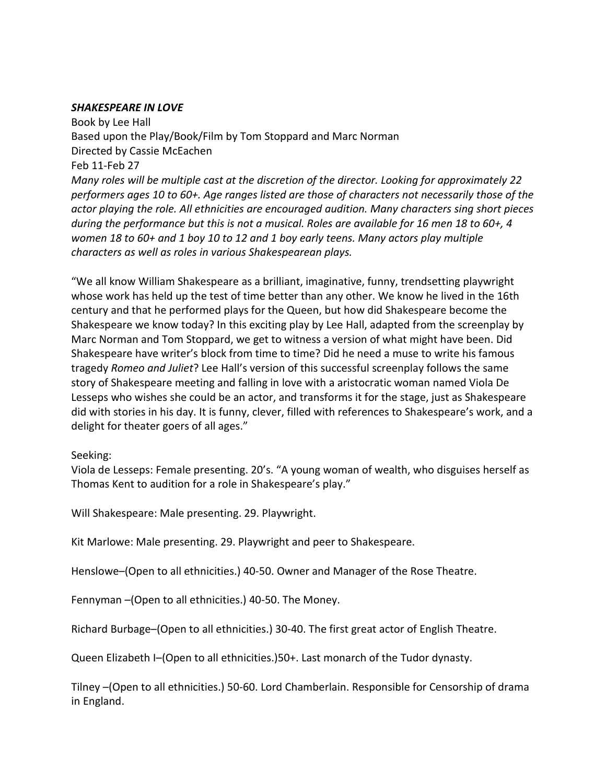### *SHAKESPEARE IN LOVE*

Book by Lee Hall Based upon the Play/Book/Film by Tom Stoppard and Marc Norman Directed by Cassie McEachen Feb 11-Feb 27 *Many roles will be multiple cast at the discretion of the director. Looking for approximately 22 performers ages 10 to 60+. Age ranges listed are those of characters not necessarily those of the actor playing the role. All ethnicities are encouraged audition. Many characters sing short pieces during the performance but this is not a musical. Roles are available for 16 men 18 to 60+, 4 women 18 to 60+ and 1 boy 10 to 12 and 1 boy early teens. Many actors play multiple characters as well as roles in various Shakespearean plays.*

"We all know William Shakespeare as a brilliant, imaginative, funny, trendsetting playwright whose work has held up the test of time better than any other. We know he lived in the 16th century and that he performed plays for the Queen, but how did Shakespeare become the Shakespeare we know today? In this exciting play by Lee Hall, adapted from the screenplay by Marc Norman and Tom Stoppard, we get to witness a version of what might have been. Did Shakespeare have writer's block from time to time? Did he need a muse to write his famous tragedy *Romeo and Juliet*? Lee Hall's version of this successful screenplay follows the same story of Shakespeare meeting and falling in love with a aristocratic woman named Viola De Lesseps who wishes she could be an actor, and transforms it for the stage, just as Shakespeare did with stories in his day. It is funny, clever, filled with references to Shakespeare's work, and a delight for theater goers of all ages."

# Seeking:

Viola de Lesseps: Female presenting. 20's. "A young woman of wealth, who disguises herself as Thomas Kent to audition for a role in Shakespeare's play."

Will Shakespeare: Male presenting. 29. Playwright.

Kit Marlowe: Male presenting. 29. Playwright and peer to Shakespeare.

Henslowe–(Open to all ethnicities.) 40-50. Owner and Manager of the Rose Theatre.

Fennyman –(Open to all ethnicities.) 40-50. The Money.

Richard Burbage–(Open to all ethnicities.) 30-40. The first great actor of English Theatre.

Queen Elizabeth I–(Open to all ethnicities.)50+. Last monarch of the Tudor dynasty.

Tilney –(Open to all ethnicities.) 50-60. Lord Chamberlain. Responsible for Censorship of drama in England.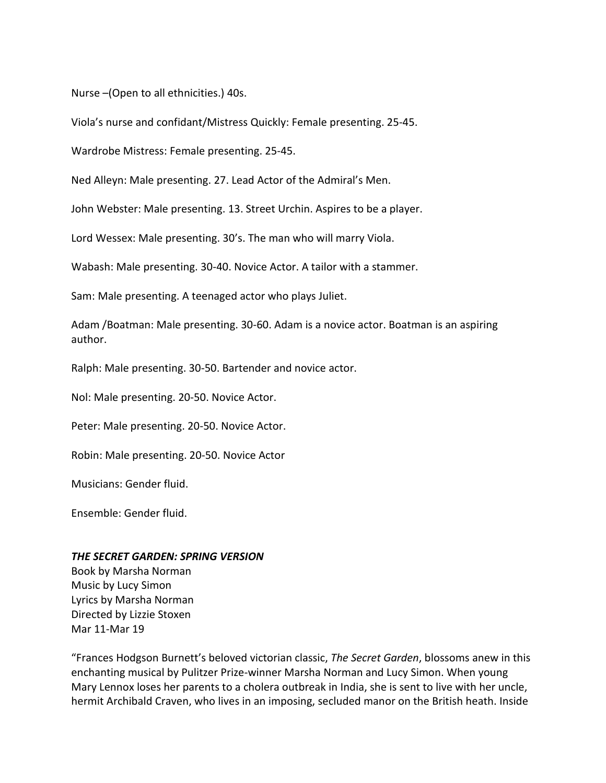Nurse –(Open to all ethnicities.) 40s.

Viola's nurse and confidant/Mistress Quickly: Female presenting. 25-45.

Wardrobe Mistress: Female presenting. 25-45.

Ned Alleyn: Male presenting. 27. Lead Actor of the Admiral's Men.

John Webster: Male presenting. 13. Street Urchin. Aspires to be a player.

Lord Wessex: Male presenting. 30's. The man who will marry Viola.

Wabash: Male presenting. 30-40. Novice Actor. A tailor with a stammer.

Sam: Male presenting. A teenaged actor who plays Juliet.

Adam /Boatman: Male presenting. 30-60. Adam is a novice actor. Boatman is an aspiring author.

Ralph: Male presenting. 30-50. Bartender and novice actor.

Nol: Male presenting. 20-50. Novice Actor.

Peter: Male presenting. 20-50. Novice Actor.

Robin: Male presenting. 20-50. Novice Actor

Musicians: Gender fluid.

Ensemble: Gender fluid.

#### *THE SECRET GARDEN: SPRING VERSION*

Book by Marsha Norman Music by Lucy Simon Lyrics by Marsha Norman Directed by Lizzie Stoxen Mar 11-Mar 19

"Frances Hodgson Burnett's beloved victorian classic, *The Secret Garden*, blossoms anew in this enchanting musical by Pulitzer Prize-winner Marsha Norman and Lucy Simon. When young Mary Lennox loses her parents to a cholera outbreak in India, she is sent to live with her uncle, hermit Archibald Craven, who lives in an imposing, secluded manor on the British heath. Inside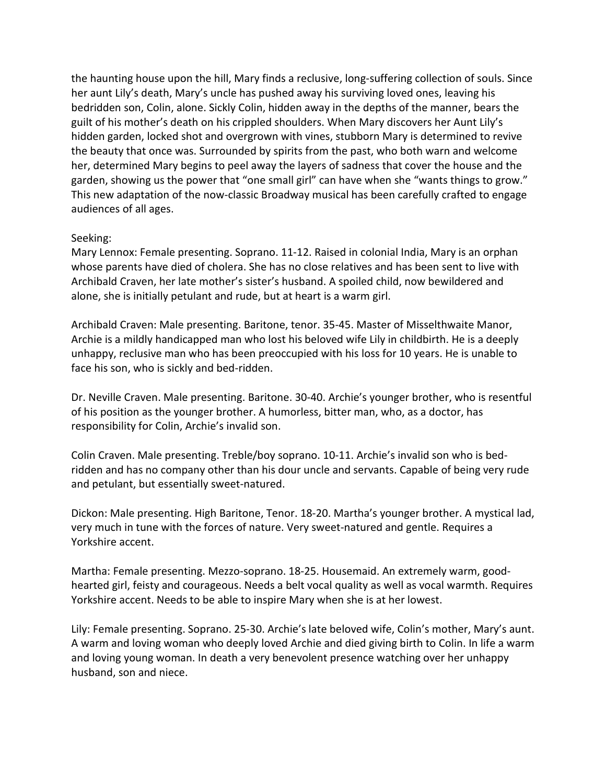the haunting house upon the hill, Mary finds a reclusive, long-suffering collection of souls. Since her aunt Lily's death, Mary's uncle has pushed away his surviving loved ones, leaving his bedridden son, Colin, alone. Sickly Colin, hidden away in the depths of the manner, bears the guilt of his mother's death on his crippled shoulders. When Mary discovers her Aunt Lily's hidden garden, locked shot and overgrown with vines, stubborn Mary is determined to revive the beauty that once was. Surrounded by spirits from the past, who both warn and welcome her, determined Mary begins to peel away the layers of sadness that cover the house and the garden, showing us the power that "one small girl" can have when she "wants things to grow." This new adaptation of the now-classic Broadway musical has been carefully crafted to engage audiences of all ages.

# Seeking:

Mary Lennox: Female presenting. Soprano. 11-12. Raised in colonial India, Mary is an orphan whose parents have died of cholera. She has no close relatives and has been sent to live with Archibald Craven, her late mother's sister's husband. A spoiled child, now bewildered and alone, she is initially petulant and rude, but at heart is a warm girl.

Archibald Craven: Male presenting. Baritone, tenor. 35-45. Master of Misselthwaite Manor, Archie is a mildly handicapped man who lost his beloved wife Lily in childbirth. He is a deeply unhappy, reclusive man who has been preoccupied with his loss for 10 years. He is unable to face his son, who is sickly and bed-ridden.

Dr. Neville Craven. Male presenting. Baritone. 30-40. Archie's younger brother, who is resentful of his position as the younger brother. A humorless, bitter man, who, as a doctor, has responsibility for Colin, Archie's invalid son.

Colin Craven. Male presenting. Treble/boy soprano. 10-11. Archie's invalid son who is bedridden and has no company other than his dour uncle and servants. Capable of being very rude and petulant, but essentially sweet-natured.

Dickon: Male presenting. High Baritone, Tenor. 18-20. Martha's younger brother. A mystical lad, very much in tune with the forces of nature. Very sweet-natured and gentle. Requires a Yorkshire accent.

Martha: Female presenting. Mezzo-soprano. 18-25. Housemaid. An extremely warm, goodhearted girl, feisty and courageous. Needs a belt vocal quality as well as vocal warmth. Requires Yorkshire accent. Needs to be able to inspire Mary when she is at her lowest.

Lily: Female presenting. Soprano. 25-30. Archie's late beloved wife, Colin's mother, Mary's aunt. A warm and loving woman who deeply loved Archie and died giving birth to Colin. In life a warm and loving young woman. In death a very benevolent presence watching over her unhappy husband, son and niece.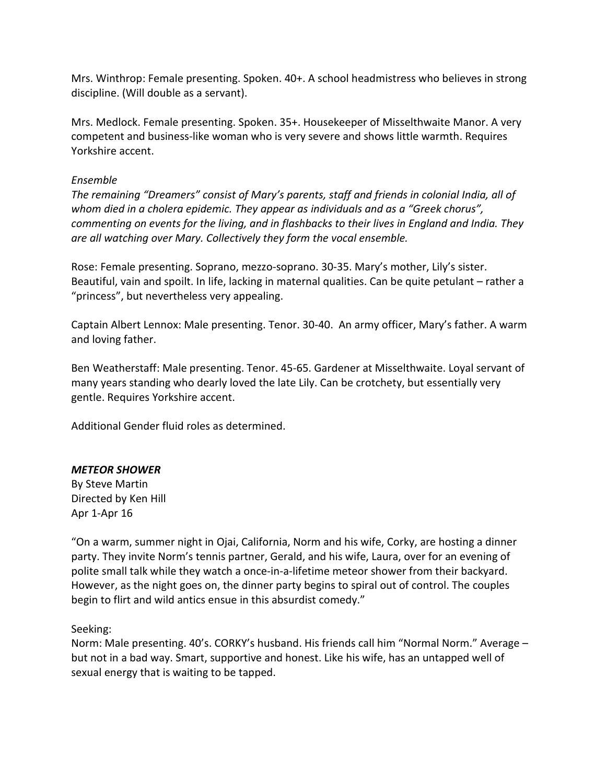Mrs. Winthrop: Female presenting. Spoken. 40+. A school headmistress who believes in strong discipline. (Will double as a servant).

Mrs. Medlock. Female presenting. Spoken. 35+. Housekeeper of Misselthwaite Manor. A very competent and business-like woman who is very severe and shows little warmth. Requires Yorkshire accent.

# *Ensemble*

*The remaining "Dreamers" consist of Mary's parents, staff and friends in colonial India, all of whom died in a cholera epidemic. They appear as individuals and as a "Greek chorus", commenting on events for the living, and in flashbacks to their lives in England and India. They are all watching over Mary. Collectively they form the vocal ensemble.*

Rose: Female presenting. Soprano, mezzo-soprano. 30-35. Mary's mother, Lily's sister. Beautiful, vain and spoilt. In life, lacking in maternal qualities. Can be quite petulant – rather a "princess", but nevertheless very appealing.

Captain Albert Lennox: Male presenting. Tenor. 30-40. An army officer, Mary's father. A warm and loving father.

Ben Weatherstaff: Male presenting. Tenor. 45-65. Gardener at Misselthwaite. Loyal servant of many years standing who dearly loved the late Lily. Can be crotchety, but essentially very gentle. Requires Yorkshire accent.

Additional Gender fluid roles as determined.

# *METEOR SHOWER*

By Steve Martin Directed by Ken Hill Apr 1-Apr 16

"On a warm, summer night in Ojai, California, Norm and his wife, Corky, are hosting a dinner party. They invite Norm's tennis partner, Gerald, and his wife, Laura, over for an evening of polite small talk while they watch a once-in-a-lifetime meteor shower from their backyard. However, as the night goes on, the dinner party begins to spiral out of control. The couples begin to flirt and wild antics ensue in this absurdist comedy."

# Seeking:

Norm: Male presenting. 40's. CORKY's husband. His friends call him "Normal Norm." Average – but not in a bad way. Smart, supportive and honest. Like his wife, has an untapped well of sexual energy that is waiting to be tapped.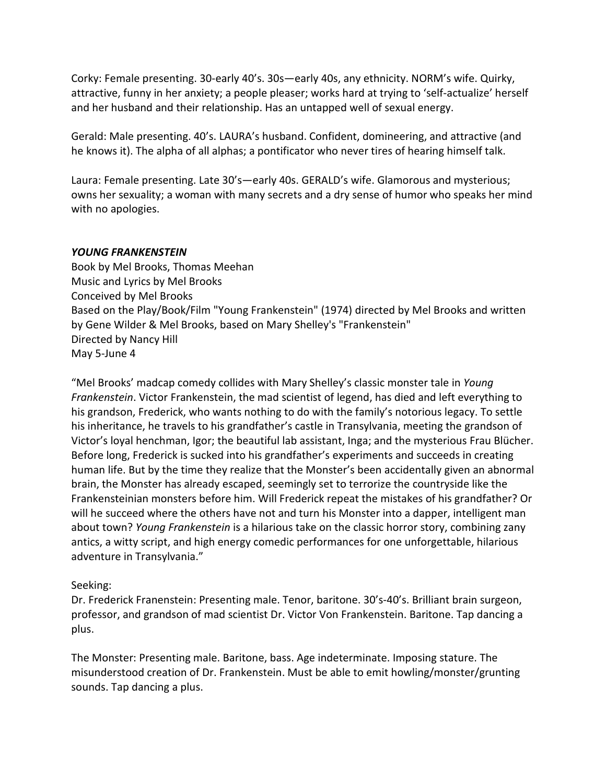Corky: Female presenting. 30-early 40's. 30s—early 40s, any ethnicity. NORM's wife. Quirky, attractive, funny in her anxiety; a people pleaser; works hard at trying to 'self-actualize' herself and her husband and their relationship. Has an untapped well of sexual energy.

Gerald: Male presenting. 40's. LAURA's husband. Confident, domineering, and attractive (and he knows it). The alpha of all alphas; a pontificator who never tires of hearing himself talk.

Laura: Female presenting. Late 30's—early 40s. GERALD's wife. Glamorous and mysterious; owns her sexuality; a woman with many secrets and a dry sense of humor who speaks her mind with no apologies.

# *YOUNG FRANKENSTEIN*

Book by Mel Brooks, Thomas Meehan Music and Lyrics by Mel Brooks Conceived by Mel Brooks Based on the Play/Book/Film "Young Frankenstein" (1974) directed by Mel Brooks and written by Gene Wilder & Mel Brooks, based on Mary Shelley's "Frankenstein" Directed by Nancy Hill May 5-June 4

"Mel Brooks' madcap comedy collides with Mary Shelley's classic monster tale in *Young Frankenstein*. Victor Frankenstein, the mad scientist of legend, has died and left everything to his grandson, Frederick, who wants nothing to do with the family's notorious legacy. To settle his inheritance, he travels to his grandfather's castle in Transylvania, meeting the grandson of Victor's loyal henchman, Igor; the beautiful lab assistant, Inga; and the mysterious Frau Blücher. Before long, Frederick is sucked into his grandfather's experiments and succeeds in creating human life. But by the time they realize that the Monster's been accidentally given an abnormal brain, the Monster has already escaped, seemingly set to terrorize the countryside like the Frankensteinian monsters before him. Will Frederick repeat the mistakes of his grandfather? Or will he succeed where the others have not and turn his Monster into a dapper, intelligent man about town? *Young Frankenstein* is a hilarious take on the classic horror story, combining zany antics, a witty script, and high energy comedic performances for one unforgettable, hilarious adventure in Transylvania."

# Seeking:

Dr. Frederick Franenstein: Presenting male. Tenor, baritone. 30's-40's. Brilliant brain surgeon, professor, and grandson of mad scientist Dr. Victor Von Frankenstein. Baritone. Tap dancing a plus.

The Monster: Presenting male. Baritone, bass. Age indeterminate. Imposing stature. The misunderstood creation of Dr. Frankenstein. Must be able to emit howling/monster/grunting sounds. Tap dancing a plus.